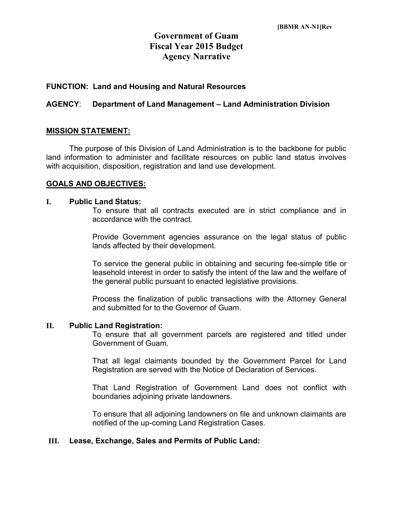# **Government of Guam Fiscal Year 2015 Budget Agency Narrative**

# **FUNCTION: Land and Housing and Natural Resources**

# **AGENCY**: **Department of Land Management – Land Administration Division**

# **MISSION STATEMENT:**

The purpose of this Division of Land Administration is to the backbone for public land information to administer and facilitate resources on public land status involves with acquisition, disposition, registration and land use development.

### **GOALS AND OBJECTIVES:**

#### **I. Public Land Status:**

To ensure that all contracts executed are in strict compliance and in accordance with the contract.

Provide Government agencies assurance on the legal status of public lands affected by their development.

To service the general public in obtaining and securing fee-simple title or leasehold interest in order to satisfy the intent of the law and the welfare of the general public pursuant to enacted legislative provisions.

Process the finalization of public transactions with the Attorney General and submitted for to the Governor of Guam.

#### **II. Public Land Registration:**

To ensure that all government parcels are registered and titled under Government of Guam.

That all legal claimants bounded by the Government Parcel for Land Registration are served with the Notice of Declaration of Services.

That Land Registration of Government Land does not conflict with boundaries adjoining private landowners.

To ensure that all adjoining landowners on file and unknown claimants are notified of the up-coming Land Registration Cases.

### **III. Lease, Exchange, Sales and Permits of Public Land:**